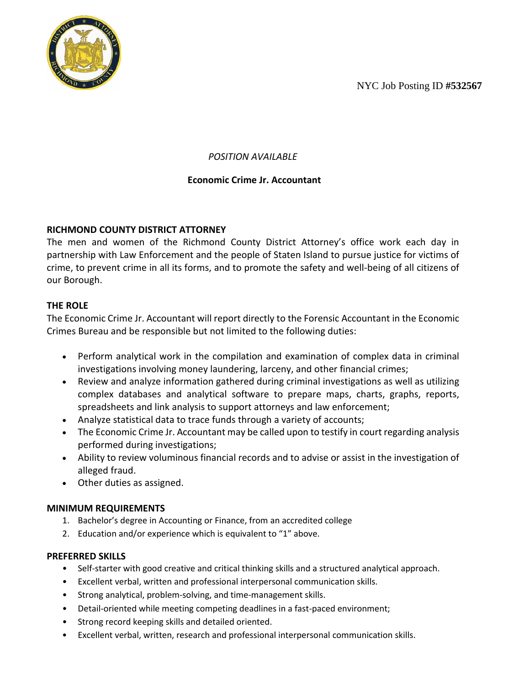NYC Job Posting ID **#532567**



# *POSITION AVAILABLE*

## **Economic Crime Jr. Accountant**

#### **RICHMOND COUNTY DISTRICT ATTORNEY**

The men and women of the Richmond County District Attorney's office work each day in partnership with Law Enforcement and the people of Staten Island to pursue justice for victims of crime, to prevent crime in all its forms, and to promote the safety and well-being of all citizens of our Borough.

## **THE ROLE**

The Economic Crime Jr. Accountant will report directly to the Forensic Accountant in the Economic Crimes Bureau and be responsible but not limited to the following duties:

- Perform analytical work in the compilation and examination of complex data in criminal investigations involving money laundering, larceny, and other financial crimes;
- Review and analyze information gathered during criminal investigations as well as utilizing complex databases and analytical software to prepare maps, charts, graphs, reports, spreadsheets and link analysis to support attorneys and law enforcement;
- Analyze statistical data to trace funds through a variety of accounts;
- The Economic Crime Jr. Accountant may be called upon to testify in court regarding analysis performed during investigations;
- Ability to review voluminous financial records and to advise or assist in the investigation of alleged fraud.
- Other duties as assigned.

#### **MINIMUM REQUIREMENTS**

- 1. Bachelor's degree in Accounting or Finance, from an accredited college
- 2. Education and/or experience which is equivalent to "1" above.

#### **PREFERRED SKILLS**

- Self-starter with good creative and critical thinking skills and a structured analytical approach.
- Excellent verbal, written and professional interpersonal communication skills.
- Strong analytical, problem-solving, and time-management skills.
- Detail-oriented while meeting competing deadlines in a fast-paced environment;
- Strong record keeping skills and detailed oriented.
- Excellent verbal, written, research and professional interpersonal communication skills.